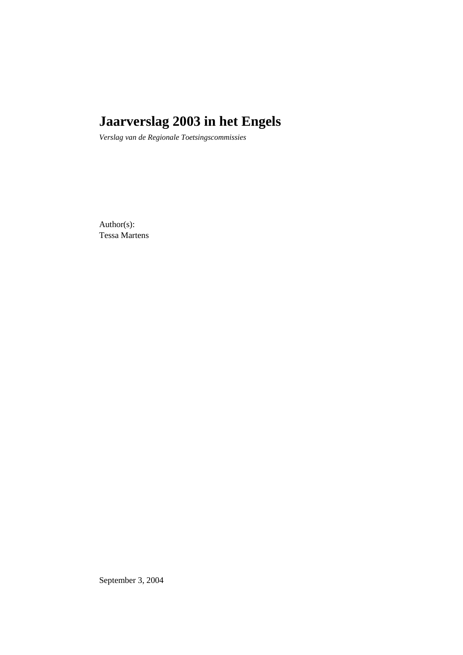# **Jaarverslag 2003 in het Engels**

*Verslag van de Regionale Toetsingscommissies*

Author(s): Tessa Martens

September 3, 2004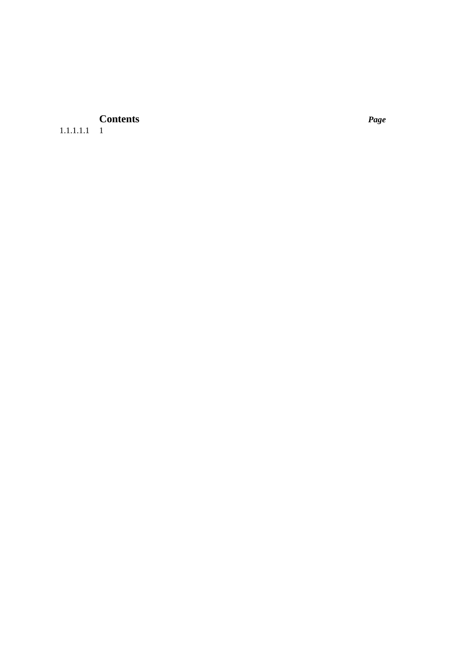# **Contents** *Page*

1.1.1.1.1 1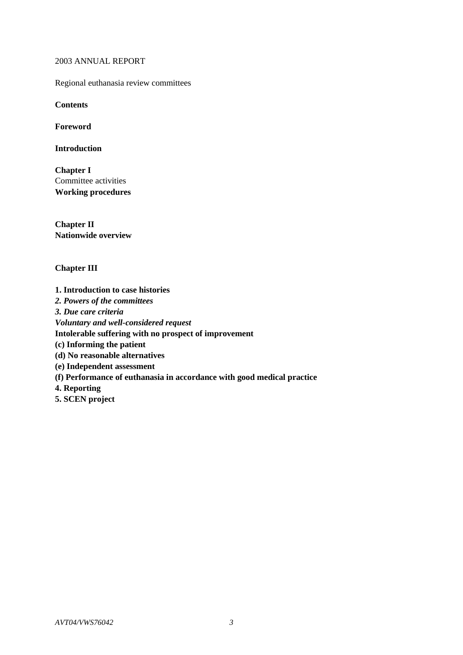2003 ANNUAL REPORT

Regional euthanasia review committees

**Contents**

**Foreword**

**Introduction**

**Chapter I** Committee activities **Working procedures**

**Chapter II Nationwide overview**

# **Chapter III**

**1. Introduction to case histories** *2. Powers of the committees 3. Due care criteria Voluntary and well-considered request* **Intolerable suffering with no prospect of improvement (c) Informing the patient (d) No reasonable alternatives (e) Independent assessment (f) Performance of euthanasia in accordance with good medical practice 4. Reporting 5. SCEN project**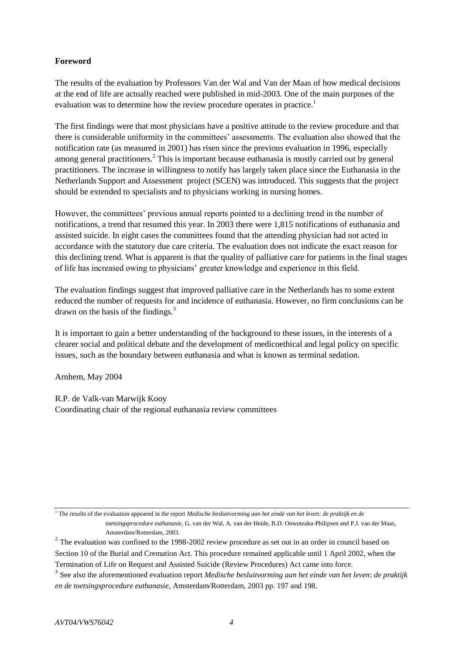# **Foreword**

The results of the evaluation by Professors Van der Wal and Van der Maas of how medical decisions at the end of life are actually reached were published in mid-2003. One of the main purposes of the evaluation was to determine how the review procedure operates in practice.<sup>1</sup>

The first findings were that most physicians have a positive attitude to the review procedure and that there is considerable uniformity in the committees' assessments. The evaluation also showed that the notification rate (as measured in 2001) has risen since the previous evaluation in 1996, especially among general practitioners.<sup>2</sup> This is important because euthanasia is mostly carried out by general practitioners. The increase in willingness to notify has largely taken place since the Euthanasia in the Netherlands Support and Assessment project (SCEN) was introduced. This suggests that the project should be extended to specialists and to physicians working in nursing homes.

However, the committees' previous annual reports pointed to a declining trend in the number of notifications, a trend that resumed this year. In 2003 there were 1,815 notifications of euthanasia and assisted suicide. In eight cases the committees found that the attending physician had not acted in accordance with the statutory due care criteria. The evaluation does not indicate the exact reason for this declining trend. What is apparent is that the quality of palliative care for patients in the final stages of life has increased owing to physicians' greater knowledge and experience in this field.

The evaluation findings suggest that improved palliative care in the Netherlands has to some extent reduced the number of requests for and incidence of euthanasia. However, no firm conclusions can be drawn on the basis of the findings. $3$ 

It is important to gain a better understanding of the background to these issues, in the interests of a clearer social and political debate and the development of medicoethical and legal policy on specific issues, such as the boundary between euthanasia and what is known as terminal sedation.

Arnhem, May 2004

R.P. de Valk-van Marwijk Kooy Coordinating chair of the regional euthanasia review committees

<sup>1</sup> The results of the evaluation appeared in the report *Medische besluitvorming aan het einde van het leven: de praktijk en de toetsingsprocedure euthanasie*, G. van der Wal, A. van der Heide, B.D. Onwuteaka-Philipsen and P.J. van der Maas, Amsterdam/Rotterdam, 2003.

 $2^{2}$  The evaluation was confined to the 1998-2002 review procedure as set out in an order in council based on Section 10 of the Burial and Cremation Act. This procedure remained applicable until 1 April 2002, when the Termination of Life on Request and Assisted Suicide (Review Procedures) Act came into force.

<sup>3</sup> See also the aforementioned evaluation report *Medische besluitvorming aan het einde van het leven*: *de praktijk en de toetsingsprocedure euthanasie*, Amsterdam/Rotterdam, 2003 pp. 197 and 198.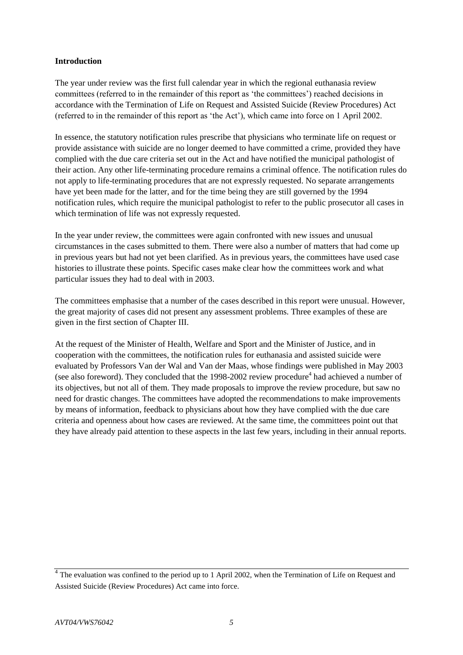# **Introduction**

The year under review was the first full calendar year in which the regional euthanasia review committees (referred to in the remainder of this report as 'the committees') reached decisions in accordance with the Termination of Life on Request and Assisted Suicide (Review Procedures) Act (referred to in the remainder of this report as 'the Act'), which came into force on 1 April 2002.

In essence, the statutory notification rules prescribe that physicians who terminate life on request or provide assistance with suicide are no longer deemed to have committed a crime, provided they have complied with the due care criteria set out in the Act and have notified the municipal pathologist of their action. Any other life-terminating procedure remains a criminal offence. The notification rules do not apply to life-terminating procedures that are not expressly requested. No separate arrangements have yet been made for the latter, and for the time being they are still governed by the 1994 notification rules, which require the municipal pathologist to refer to the public prosecutor all cases in which termination of life was not expressly requested.

In the year under review, the committees were again confronted with new issues and unusual circumstances in the cases submitted to them. There were also a number of matters that had come up in previous years but had not yet been clarified. As in previous years, the committees have used case histories to illustrate these points. Specific cases make clear how the committees work and what particular issues they had to deal with in 2003.

The committees emphasise that a number of the cases described in this report were unusual. However, the great majority of cases did not present any assessment problems. Three examples of these are given in the first section of Chapter III.

At the request of the Minister of Health, Welfare and Sport and the Minister of Justice, and in cooperation with the committees, the notification rules for euthanasia and assisted suicide were evaluated by Professors Van der Wal and Van der Maas, whose findings were published in May 2003 (see also foreword). They concluded that the 1998-2002 review procedure<sup>4</sup> had achieved a number of its objectives, but not all of them. They made proposals to improve the review procedure, but saw no need for drastic changes. The committees have adopted the recommendations to make improvements by means of information, feedback to physicians about how they have complied with the due care criteria and openness about how cases are reviewed. At the same time, the committees point out that they have already paid attention to these aspects in the last few years, including in their annual reports.

 $4$  The evaluation was confined to the period up to 1 April 2002, when the Termination of Life on Request and Assisted Suicide (Review Procedures) Act came into force.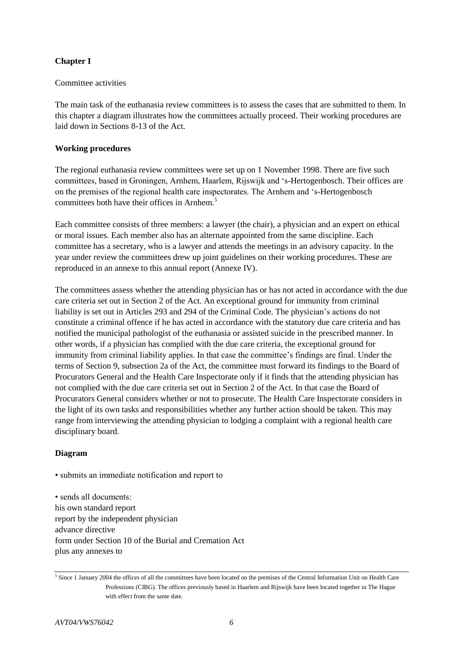# **Chapter I**

# Committee activities

The main task of the euthanasia review committees is to assess the cases that are submitted to them. In this chapter a diagram illustrates how the committees actually proceed. Their working procedures are laid down in Sections 8-13 of the Act.

# **Working procedures**

The regional euthanasia review committees were set up on 1 November 1998. There are five such committees, based in Groningen, Arnhem, Haarlem, Rijswijk and 's-Hertogenbosch. Their offices are on the premises of the regional health care inspectorates. The Arnhem and 's-Hertogenbosch committees both have their offices in Arnhem $<sup>5</sup>$ </sup>

Each committee consists of three members: a lawyer (the chair), a physician and an expert on ethical or moral issues. Each member also has an alternate appointed from the same discipline. Each committee has a secretary, who is a lawyer and attends the meetings in an advisory capacity. In the year under review the committees drew up joint guidelines on their working procedures. These are reproduced in an annexe to this annual report (Annexe IV).

The committees assess whether the attending physician has or has not acted in accordance with the due care criteria set out in Section 2 of the Act. An exceptional ground for immunity from criminal liability is set out in Articles 293 and 294 of the Criminal Code. The physician's actions do not constitute a criminal offence if he has acted in accordance with the statutory due care criteria and has notified the municipal pathologist of the euthanasia or assisted suicide in the prescribed manner. In other words, if a physician has complied with the due care criteria, the exceptional ground for immunity from criminal liability applies. In that case the committee's findings are final. Under the terms of Section 9, subsection 2a of the Act, the committee must forward its findings to the Board of Procurators General and the Health Care Inspectorate only if it finds that the attending physician has not complied with the due care criteria set out in Section 2 of the Act. In that case the Board of Procurators General considers whether or not to prosecute. The Health Care Inspectorate considers in the light of its own tasks and responsibilities whether any further action should be taken. This may range from interviewing the attending physician to lodging a complaint with a regional health care disciplinary board.

# **Diagram**

• submits an immediate notification and report to

• sends all documents: his own standard report report by the independent physician advance directive form under Section 10 of the Burial and Cremation Act plus any annexes to

<sup>&</sup>lt;sup>5</sup> Since 1 January 2004 the offices of all the committees have been located on the premises of the Central Information Unit on Health Care Professions (CIBG). The offices previously based in Haarlem and Rijswijk have been located together in The Hague with effect from the same date.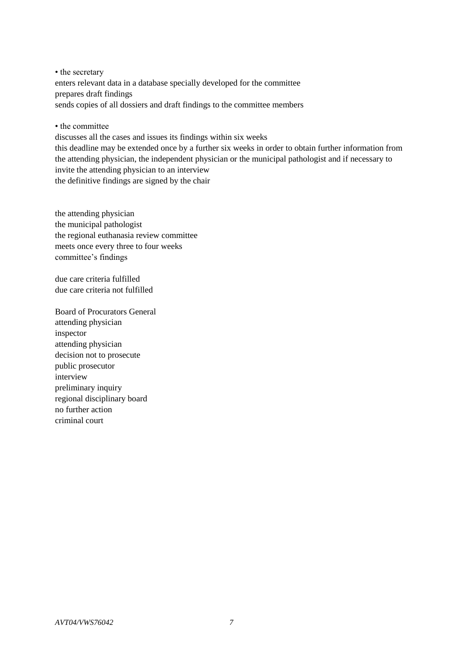• the secretary enters relevant data in a database specially developed for the committee prepares draft findings sends copies of all dossiers and draft findings to the committee members

• the committee

discusses all the cases and issues its findings within six weeks

this deadline may be extended once by a further six weeks in order to obtain further information from the attending physician, the independent physician or the municipal pathologist and if necessary to invite the attending physician to an interview the definitive findings are signed by the chair

the attending physician the municipal pathologist the regional euthanasia review committee meets once every three to four weeks committee's findings

due care criteria fulfilled due care criteria not fulfilled

Board of Procurators General attending physician inspector attending physician decision not to prosecute public prosecutor interview preliminary inquiry regional disciplinary board no further action criminal court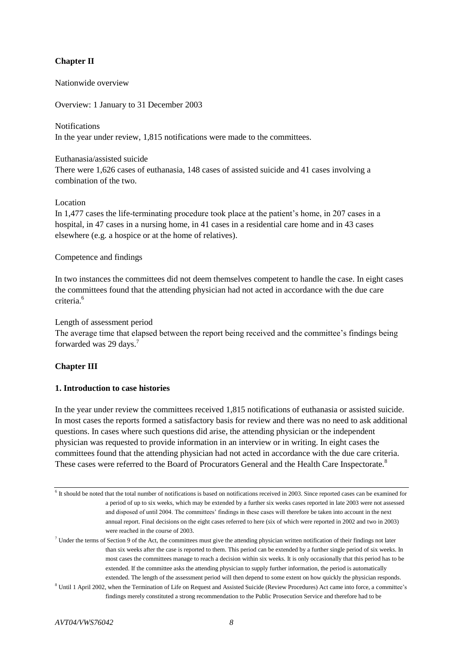# **Chapter II**

Nationwide overview

Overview: 1 January to 31 December 2003

# Notifications

In the year under review, 1,815 notifications were made to the committees.

# Euthanasia/assisted suicide

There were 1,626 cases of euthanasia, 148 cases of assisted suicide and 41 cases involving a combination of the two.

# Location

In 1,477 cases the life-terminating procedure took place at the patient's home, in 207 cases in a hospital, in 47 cases in a nursing home, in 41 cases in a residential care home and in 43 cases elsewhere (e.g. a hospice or at the home of relatives).

# Competence and findings

In two instances the committees did not deem themselves competent to handle the case. In eight cases the committees found that the attending physician had not acted in accordance with the due care criteria<sup>6</sup>

# Length of assessment period

The average time that elapsed between the report being received and the committee's findings being forwarded was 29 days.<sup>7</sup>

# **Chapter III**

## **1. Introduction to case histories**

In the year under review the committees received 1,815 notifications of euthanasia or assisted suicide. In most cases the reports formed a satisfactory basis for review and there was no need to ask additional questions. In cases where such questions did arise, the attending physician or the independent physician was requested to provide information in an interview or in writing. In eight cases the committees found that the attending physician had not acted in accordance with the due care criteria. These cases were referred to the Board of Procurators General and the Health Care Inspectorate.<sup>8</sup>

 $6$  It should be noted that the total number of notifications is based on notifications received in 2003. Since reported cases can be examined for a period of up to six weeks, which may be extended by a further six weeks cases reported in late 2003 were not assessed and disposed of until 2004. The committees' findings in these cases will therefore be taken into account in the next annual report. Final decisions on the eight cases referred to here (six of which were reported in 2002 and two in 2003) were reached in the course of 2003.

 $7$  Under the terms of Section 9 of the Act, the committees must give the attending physician written notification of their findings not later than six weeks after the case is reported to them. This period can be extended by a further single period of six weeks. In most cases the committees manage to reach a decision within six weeks. It is only occasionally that this period has to be extended. If the committee asks the attending physician to supply further information, the period is automatically extended. The length of the assessment period will then depend to some extent on how quickly the physician responds.

<sup>8</sup> Until 1 April 2002, when the Termination of Life on Request and Assisted Suicide (Review Procedures) Act came into force, a committee's findings merely constituted a strong recommendation to the Public Prosecution Service and therefore had to be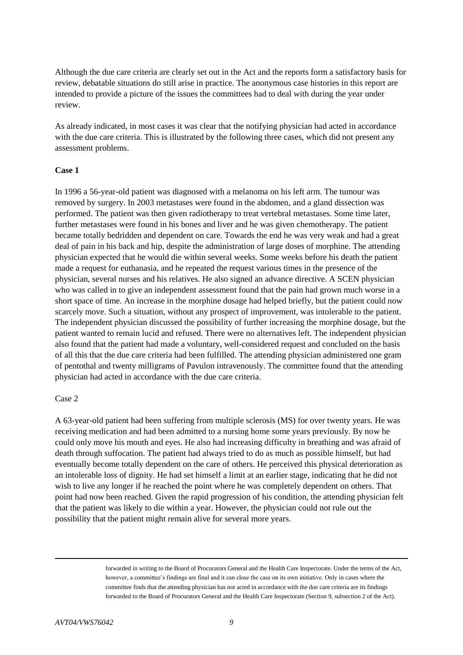Although the due care criteria are clearly set out in the Act and the reports form a satisfactory basis for review, debatable situations do still arise in practice. The anonymous case histories in this report are intended to provide a picture of the issues the committees had to deal with during the year under review.

As already indicated, in most cases it was clear that the notifying physician had acted in accordance with the due care criteria. This is illustrated by the following three cases, which did not present any assessment problems.

## **Case 1**

In 1996 a 56-year-old patient was diagnosed with a melanoma on his left arm. The tumour was removed by surgery. In 2003 metastases were found in the abdomen, and a gland dissection was performed. The patient was then given radiotherapy to treat vertebral metastases. Some time later, further metastases were found in his bones and liver and he was given chemotherapy. The patient became totally bedridden and dependent on care. Towards the end he was very weak and had a great deal of pain in his back and hip, despite the administration of large doses of morphine. The attending physician expected that he would die within several weeks. Some weeks before his death the patient made a request for euthanasia, and he repeated the request various times in the presence of the physician, several nurses and his relatives. He also signed an advance directive. A SCEN physician who was called in to give an independent assessment found that the pain had grown much worse in a short space of time. An increase in the morphine dosage had helped briefly, but the patient could now scarcely move. Such a situation, without any prospect of improvement, was intolerable to the patient. The independent physician discussed the possibility of further increasing the morphine dosage, but the patient wanted to remain lucid and refused. There were no alternatives left. The independent physician also found that the patient had made a voluntary, well-considered request and concluded on the basis of all this that the due care criteria had been fulfilled. The attending physician administered one gram of pentothal and twenty milligrams of Pavulon intravenously. The committee found that the attending physician had acted in accordance with the due care criteria.

#### Case 2

A 63-year-old patient had been suffering from multiple sclerosis (MS) for over twenty years. He was receiving medication and had been admitted to a nursing home some years previously. By now he could only move his mouth and eyes. He also had increasing difficulty in breathing and was afraid of death through suffocation. The patient had always tried to do as much as possible himself, but had eventually become totally dependent on the care of others. He perceived this physical deterioration as an intolerable loss of dignity. He had set himself a limit at an earlier stage, indicating that he did not wish to live any longer if he reached the point where he was completely dependent on others. That point had now been reached. Given the rapid progression of his condition, the attending physician felt that the patient was likely to die within a year. However, the physician could not rule out the possibility that the patient might remain alive for several more years.

1

forwarded in writing to the Board of Procurators General and the Health Care Inspectorate. Under the terms of the Act, however, a committee's findings are final and it can close the case on its own initiative. Only in cases where the committee finds that the attending physician has not acted in accordance with the due care criteria are its findings forwarded to the Board of Procurators General and the Health Care Inspectorate (Section 9, subsection 2 of the Act).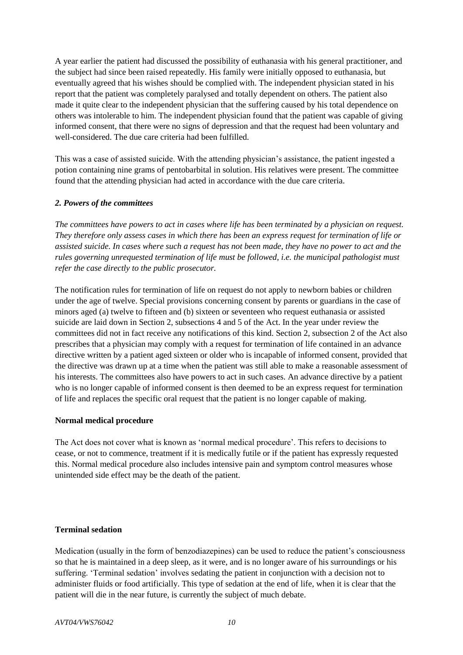A year earlier the patient had discussed the possibility of euthanasia with his general practitioner, and the subject had since been raised repeatedly. His family were initially opposed to euthanasia, but eventually agreed that his wishes should be complied with. The independent physician stated in his report that the patient was completely paralysed and totally dependent on others. The patient also made it quite clear to the independent physician that the suffering caused by his total dependence on others was intolerable to him. The independent physician found that the patient was capable of giving informed consent, that there were no signs of depression and that the request had been voluntary and well-considered. The due care criteria had been fulfilled.

This was a case of assisted suicide. With the attending physician's assistance, the patient ingested a potion containing nine grams of pentobarbital in solution. His relatives were present. The committee found that the attending physician had acted in accordance with the due care criteria.

# *2. Powers of the committees*

*The committees have powers to act in cases where life has been terminated by a physician on request. They therefore only assess cases in which there has been an express request for termination of life or assisted suicide. In cases where such a request has not been made, they have no power to act and the rules governing unrequested termination of life must be followed, i.e. the municipal pathologist must refer the case directly to the public prosecutor.*

The notification rules for termination of life on request do not apply to newborn babies or children under the age of twelve. Special provisions concerning consent by parents or guardians in the case of minors aged (a) twelve to fifteen and (b) sixteen or seventeen who request euthanasia or assisted suicide are laid down in Section 2, subsections 4 and 5 of the Act. In the year under review the committees did not in fact receive any notifications of this kind. Section 2, subsection 2 of the Act also prescribes that a physician may comply with a request for termination of life contained in an advance directive written by a patient aged sixteen or older who is incapable of informed consent, provided that the directive was drawn up at a time when the patient was still able to make a reasonable assessment of his interests. The committees also have powers to act in such cases. An advance directive by a patient who is no longer capable of informed consent is then deemed to be an express request for termination of life and replaces the specific oral request that the patient is no longer capable of making.

## **Normal medical procedure**

The Act does not cover what is known as 'normal medical procedure'. This refers to decisions to cease, or not to commence, treatment if it is medically futile or if the patient has expressly requested this. Normal medical procedure also includes intensive pain and symptom control measures whose unintended side effect may be the death of the patient.

## **Terminal sedation**

Medication (usually in the form of benzodiazepines) can be used to reduce the patient's consciousness so that he is maintained in a deep sleep, as it were, and is no longer aware of his surroundings or his suffering. 'Terminal sedation' involves sedating the patient in conjunction with a decision not to administer fluids or food artificially. This type of sedation at the end of life, when it is clear that the patient will die in the near future, is currently the subject of much debate.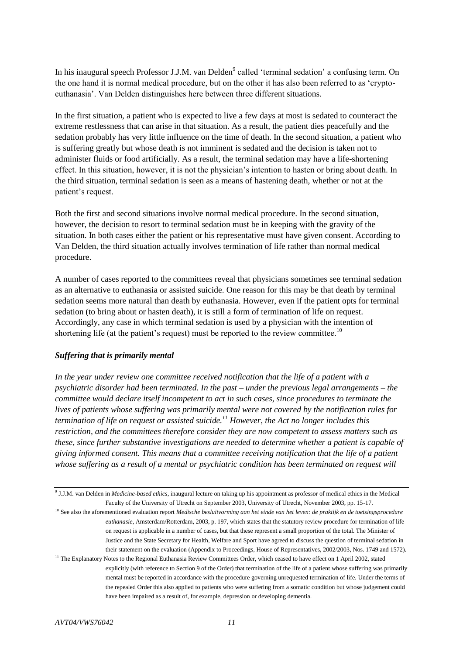In his inaugural speech Professor J.J.M. van Delden<sup>9</sup> called 'terminal sedation' a confusing term. On the one hand it is normal medical procedure, but on the other it has also been referred to as 'cryptoeuthanasia'. Van Delden distinguishes here between three different situations.

In the first situation, a patient who is expected to live a few days at most is sedated to counteract the extreme restlessness that can arise in that situation. As a result, the patient dies peacefully and the sedation probably has very little influence on the time of death. In the second situation, a patient who is suffering greatly but whose death is not imminent is sedated and the decision is taken not to administer fluids or food artificially. As a result, the terminal sedation may have a life-shortening effect. In this situation, however, it is not the physician's intention to hasten or bring about death. In the third situation, terminal sedation is seen as a means of hastening death, whether or not at the patient's request.

Both the first and second situations involve normal medical procedure. In the second situation, however, the decision to resort to terminal sedation must be in keeping with the gravity of the situation. In both cases either the patient or his representative must have given consent. According to Van Delden, the third situation actually involves termination of life rather than normal medical procedure.

A number of cases reported to the committees reveal that physicians sometimes see terminal sedation as an alternative to euthanasia or assisted suicide. One reason for this may be that death by terminal sedation seems more natural than death by euthanasia. However, even if the patient opts for terminal sedation (to bring about or hasten death), it is still a form of termination of life on request. Accordingly, any case in which terminal sedation is used by a physician with the intention of shortening life (at the patient's request) must be reported to the review committee.<sup>10</sup>

## *Suffering that is primarily mental*

*In the year under review one committee received notification that the life of a patient with a psychiatric disorder had been terminated. In the past – under the previous legal arrangements – the committee would declare itself incompetent to act in such cases, since procedures to terminate the lives of patients whose suffering was primarily mental were not covered by the notification rules for termination of life on request or assisted suicide.<sup>11</sup> However, the Act no longer includes this restriction, and the committees therefore consider they are now competent to assess matters such as these, since further substantive investigations are needed to determine whether a patient is capable of giving informed consent. This means that a committee receiving notification that the life of a patient whose suffering as a result of a mental or psychiatric condition has been terminated on request will* 

- <sup>10</sup> See also the aforementioned evaluation report *Medische besluitvorming aan het einde van het leven: de praktijk en de toetsingsprocedure euthanasie*, Amsterdam/Rotterdam, 2003, p. 197, which states that the statutory review procedure for termination of life on request is applicable in a number of cases, but that these represent a small proportion of the total. The Minister of Justice and the State Secretary for Health, Welfare and Sport have agreed to discuss the question of terminal sedation in their statement on the evaluation (Appendix to Proceedings, House of Representatives, 2002/2003, Nos. 1749 and 1572).
- <sup>11</sup> The Explanatory Notes to the Regional Euthanasia Review Committees Order, which ceased to have effect on 1 April 2002, stated explicitly (with reference to Section 9 of the Order) that termination of the life of a patient whose suffering was primarily mental must be reported in accordance with the procedure governing unrequested termination of life. Under the terms of the repealed Order this also applied to patients who were suffering from a somatic condition but whose judgement could have been impaired as a result of, for example, depression or developing dementia.

<sup>9</sup> J.J.M. van Delden in *Medicine-based ethics,* inaugural lecture on taking up his appointment as professor of medical ethics in the Medical Faculty of the University of Utrecht on September 2003, University of Utrecht, November 2003, pp. 15-17.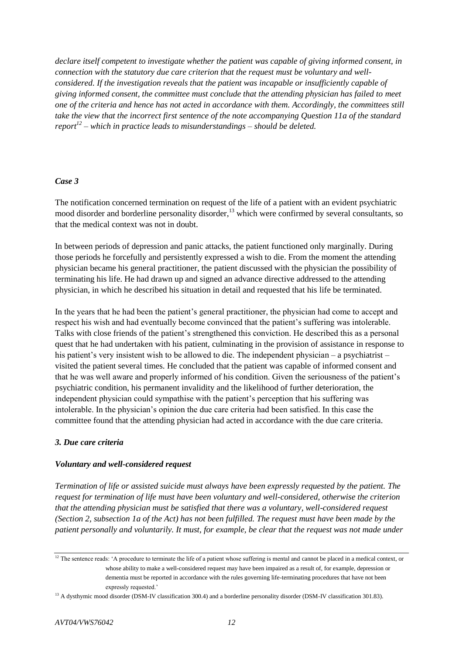*declare itself competent to investigate whether the patient was capable of giving informed consent, in connection with the statutory due care criterion that the request must be voluntary and wellconsidered. If the investigation reveals that the patient was incapable or insufficiently capable of giving informed consent, the committee must conclude that the attending physician has failed to meet one of the criteria and hence has not acted in accordance with them. Accordingly, the committees still take the view that the incorrect first sentence of the note accompanying Question 11a of the standard report<sup>12</sup> – which in practice leads to misunderstandings – should be deleted.*

# *Case 3*

The notification concerned termination on request of the life of a patient with an evident psychiatric mood disorder and borderline personality disorder,<sup>13</sup> which were confirmed by several consultants, so that the medical context was not in doubt.

In between periods of depression and panic attacks, the patient functioned only marginally. During those periods he forcefully and persistently expressed a wish to die. From the moment the attending physician became his general practitioner, the patient discussed with the physician the possibility of terminating his life. He had drawn up and signed an advance directive addressed to the attending physician, in which he described his situation in detail and requested that his life be terminated.

In the years that he had been the patient's general practitioner, the physician had come to accept and respect his wish and had eventually become convinced that the patient's suffering was intolerable. Talks with close friends of the patient's strengthened this conviction. He described this as a personal quest that he had undertaken with his patient, culminating in the provision of assistance in response to his patient's very insistent wish to be allowed to die. The independent physician – a psychiatrist – visited the patient several times. He concluded that the patient was capable of informed consent and that he was well aware and properly informed of his condition. Given the seriousness of the patient's psychiatric condition, his permanent invalidity and the likelihood of further deterioration, the independent physician could sympathise with the patient's perception that his suffering was intolerable. In the physician's opinion the due care criteria had been satisfied. In this case the committee found that the attending physician had acted in accordance with the due care criteria.

## *3. Due care criteria*

## *Voluntary and well-considered request*

*Termination of life or assisted suicide must always have been expressly requested by the patient. The request for termination of life must have been voluntary and well-considered, otherwise the criterion that the attending physician must be satisfied that there was a voluntary, well-considered request (Section 2, subsection 1a of the Act) has not been fulfilled. The request must have been made by the patient personally and voluntarily. It must, for example, be clear that the request was not made under* 

<sup>&</sup>lt;sup>12</sup> The sentence reads: 'A procedure to terminate the life of a patient whose suffering is mental and cannot be placed in a medical context, or whose ability to make a well-considered request may have been impaired as a result of, for example, depression or dementia must be reported in accordance with the rules governing life-terminating procedures that have not been expressly requested.'

<sup>&</sup>lt;sup>13</sup> A dysthymic mood disorder (DSM-IV classification 300.4) and a borderline personality disorder (DSM-IV classification 301.83).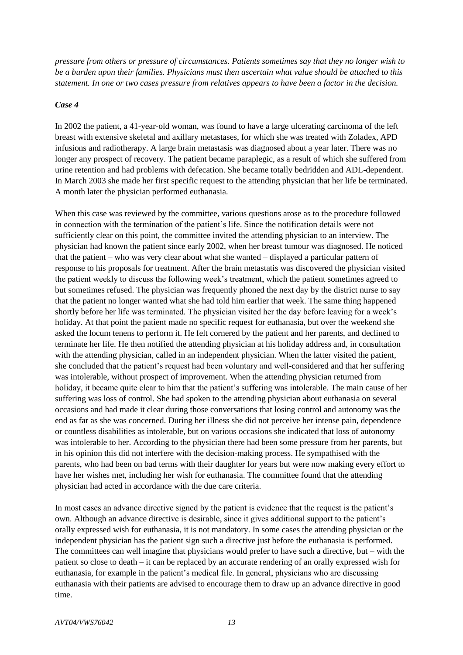*pressure from others or pressure of circumstances. Patients sometimes say that they no longer wish to be a burden upon their families. Physicians must then ascertain what value should be attached to this statement. In one or two cases pressure from relatives appears to have been a factor in the decision.*

#### *Case 4*

In 2002 the patient, a 41-year-old woman, was found to have a large ulcerating carcinoma of the left breast with extensive skeletal and axillary metastases, for which she was treated with Zoladex, APD infusions and radiotherapy. A large brain metastasis was diagnosed about a year later. There was no longer any prospect of recovery. The patient became paraplegic, as a result of which she suffered from urine retention and had problems with defecation. She became totally bedridden and ADL-dependent. In March 2003 she made her first specific request to the attending physician that her life be terminated. A month later the physician performed euthanasia.

When this case was reviewed by the committee, various questions arose as to the procedure followed in connection with the termination of the patient's life. Since the notification details were not sufficiently clear on this point, the committee invited the attending physician to an interview. The physician had known the patient since early 2002, when her breast tumour was diagnosed. He noticed that the patient – who was very clear about what she wanted – displayed a particular pattern of response to his proposals for treatment. After the brain metastatis was discovered the physician visited the patient weekly to discuss the following week's treatment, which the patient sometimes agreed to but sometimes refused. The physician was frequently phoned the next day by the district nurse to say that the patient no longer wanted what she had told him earlier that week. The same thing happened shortly before her life was terminated. The physician visited her the day before leaving for a week's holiday. At that point the patient made no specific request for euthanasia, but over the weekend she asked the locum tenens to perform it. He felt cornered by the patient and her parents, and declined to terminate her life. He then notified the attending physician at his holiday address and, in consultation with the attending physician, called in an independent physician. When the latter visited the patient, she concluded that the patient's request had been voluntary and well-considered and that her suffering was intolerable, without prospect of improvement. When the attending physician returned from holiday, it became quite clear to him that the patient's suffering was intolerable. The main cause of her suffering was loss of control. She had spoken to the attending physician about euthanasia on several occasions and had made it clear during those conversations that losing control and autonomy was the end as far as she was concerned. During her illness she did not perceive her intense pain, dependence or countless disabilities as intolerable, but on various occasions she indicated that loss of autonomy was intolerable to her. According to the physician there had been some pressure from her parents, but in his opinion this did not interfere with the decision-making process. He sympathised with the parents, who had been on bad terms with their daughter for years but were now making every effort to have her wishes met, including her wish for euthanasia. The committee found that the attending physician had acted in accordance with the due care criteria.

In most cases an advance directive signed by the patient is evidence that the request is the patient's own. Although an advance directive is desirable, since it gives additional support to the patient's orally expressed wish for euthanasia, it is not mandatory. In some cases the attending physician or the independent physician has the patient sign such a directive just before the euthanasia is performed. The committees can well imagine that physicians would prefer to have such a directive, but – with the patient so close to death – it can be replaced by an accurate rendering of an orally expressed wish for euthanasia, for example in the patient's medical file. In general, physicians who are discussing euthanasia with their patients are advised to encourage them to draw up an advance directive in good time.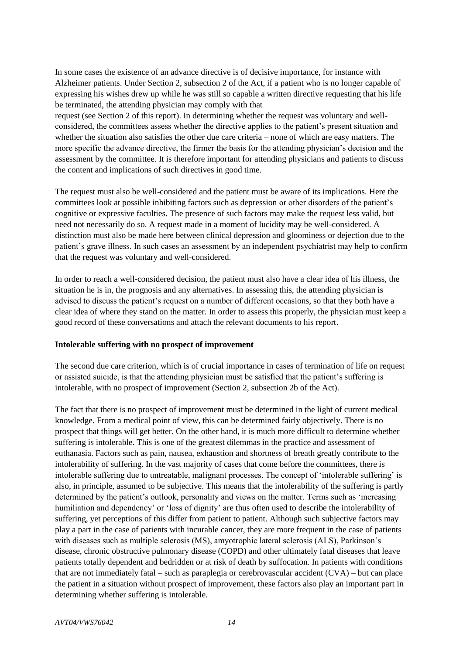In some cases the existence of an advance directive is of decisive importance, for instance with Alzheimer patients. Under Section 2, subsection 2 of the Act, if a patient who is no longer capable of expressing his wishes drew up while he was still so capable a written directive requesting that his life be terminated, the attending physician may comply with that

request (see Section 2 of this report). In determining whether the request was voluntary and wellconsidered, the committees assess whether the directive applies to the patient's present situation and whether the situation also satisfies the other due care criteria – none of which are easy matters. The more specific the advance directive, the firmer the basis for the attending physician's decision and the assessment by the committee. It is therefore important for attending physicians and patients to discuss the content and implications of such directives in good time.

The request must also be well-considered and the patient must be aware of its implications. Here the committees look at possible inhibiting factors such as depression or other disorders of the patient's cognitive or expressive faculties. The presence of such factors may make the request less valid, but need not necessarily do so. A request made in a moment of lucidity may be well-considered. A distinction must also be made here between clinical depression and gloominess or dejection due to the patient's grave illness. In such cases an assessment by an independent psychiatrist may help to confirm that the request was voluntary and well-considered.

In order to reach a well-considered decision, the patient must also have a clear idea of his illness, the situation he is in, the prognosis and any alternatives. In assessing this, the attending physician is advised to discuss the patient's request on a number of different occasions, so that they both have a clear idea of where they stand on the matter. In order to assess this properly, the physician must keep a good record of these conversations and attach the relevant documents to his report.

## **Intolerable suffering with no prospect of improvement**

The second due care criterion, which is of crucial importance in cases of termination of life on request or assisted suicide, is that the attending physician must be satisfied that the patient's suffering is intolerable, with no prospect of improvement (Section 2, subsection 2b of the Act).

The fact that there is no prospect of improvement must be determined in the light of current medical knowledge. From a medical point of view, this can be determined fairly objectively. There is no prospect that things will get better. On the other hand, it is much more difficult to determine whether suffering is intolerable. This is one of the greatest dilemmas in the practice and assessment of euthanasia. Factors such as pain, nausea, exhaustion and shortness of breath greatly contribute to the intolerability of suffering. In the vast majority of cases that come before the committees, there is intolerable suffering due to untreatable, malignant processes. The concept of 'intolerable suffering' is also, in principle, assumed to be subjective. This means that the intolerability of the suffering is partly determined by the patient's outlook, personality and views on the matter. Terms such as 'increasing humiliation and dependency' or 'loss of dignity' are thus often used to describe the intolerability of suffering, yet perceptions of this differ from patient to patient. Although such subjective factors may play a part in the case of patients with incurable cancer, they are more frequent in the case of patients with diseases such as multiple sclerosis (MS), amyotrophic lateral sclerosis (ALS), Parkinson's disease, chronic obstructive pulmonary disease (COPD) and other ultimately fatal diseases that leave patients totally dependent and bedridden or at risk of death by suffocation. In patients with conditions that are not immediately fatal – such as paraplegia or cerebrovascular accident (CVA) – but can place the patient in a situation without prospect of improvement, these factors also play an important part in determining whether suffering is intolerable.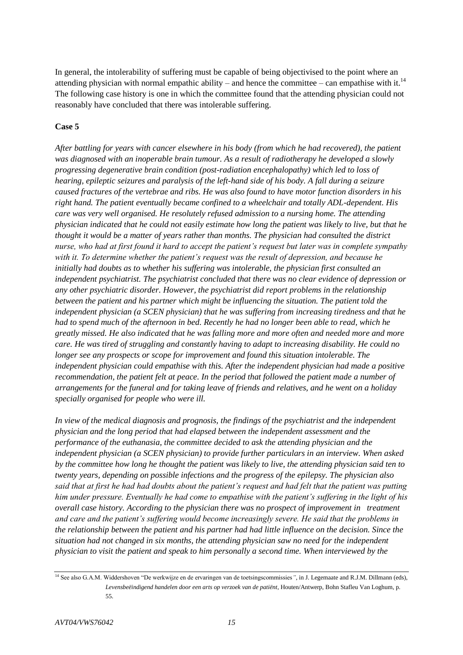In general, the intolerability of suffering must be capable of being objectivised to the point where an attending physician with normal empathic ability – and hence the committee – can empathise with it.<sup>14</sup> The following case history is one in which the committee found that the attending physician could not reasonably have concluded that there was intolerable suffering.

## **Case 5**

*After battling for years with cancer elsewhere in his body (from which he had recovered), the patient was diagnosed with an inoperable brain tumour. As a result of radiotherapy he developed a slowly progressing degenerative brain condition (post-radiation encephalopathy) which led to loss of hearing, epileptic seizures and paralysis of the left-hand side of his body. A fall during a seizure caused fractures of the vertebrae and ribs. He was also found to have motor function disorders in his right hand. The patient eventually became confined to a wheelchair and totally ADL-dependent. His care was very well organised. He resolutely refused admission to a nursing home. The attending physician indicated that he could not easily estimate how long the patient was likely to live, but that he thought it would be a matter of years rather than months. The physician had consulted the district nurse, who had at first found it hard to accept the patient's request but later was in complete sympathy with it. To determine whether the patient's request was the result of depression, and because he initially had doubts as to whether his suffering was intolerable, the physician first consulted an independent psychiatrist. The psychiatrist concluded that there was no clear evidence of depression or any other psychiatric disorder. However, the psychiatrist did report problems in the relationship between the patient and his partner which might be influencing the situation. The patient told the independent physician (a SCEN physician) that he was suffering from increasing tiredness and that he had to spend much of the afternoon in bed. Recently he had no longer been able to read, which he greatly missed. He also indicated that he was falling more and more often and needed more and more care. He was tired of struggling and constantly having to adapt to increasing disability. He could no longer see any prospects or scope for improvement and found this situation intolerable. The independent physician could empathise with this. After the independent physician had made a positive recommendation, the patient felt at peace. In the period that followed the patient made a number of arrangements for the funeral and for taking leave of friends and relatives, and he went on a holiday specially organised for people who were ill.*

*In view of the medical diagnosis and prognosis, the findings of the psychiatrist and the independent physician and the long period that had elapsed between the independent assessment and the performance of the euthanasia, the committee decided to ask the attending physician and the independent physician (a SCEN physician) to provide further particulars in an interview. When asked by the committee how long he thought the patient was likely to live, the attending physician said ten to twenty years, depending on possible infections and the progress of the epilepsy. The physician also said that at first he had had doubts about the patient's request and had felt that the patient was putting him under pressure. Eventually he had come to empathise with the patient's suffering in the light of his overall case history. According to the physician there was no prospect of improvement in treatment and care and the patient's suffering would become increasingly severe. He said that the problems in the relationship between the patient and his partner had had little influence on the decision. Since the situation had not changed in six months, the attending physician saw no need for the independent physician to visit the patient and speak to him personally a second time. When interviewed by the* 

<sup>&</sup>lt;sup>14</sup> See also G.A.M. Widdershoven "De werkwijze en de ervaringen van de toetsingscommissies", in J. Legemaate and R.J.M. Dillmann (eds), *Levensbeëindigend handelen door een arts op verzoek van de patiënt*, Houten/Antwerp, Bohn Stafleu Van Loghum, p. 55.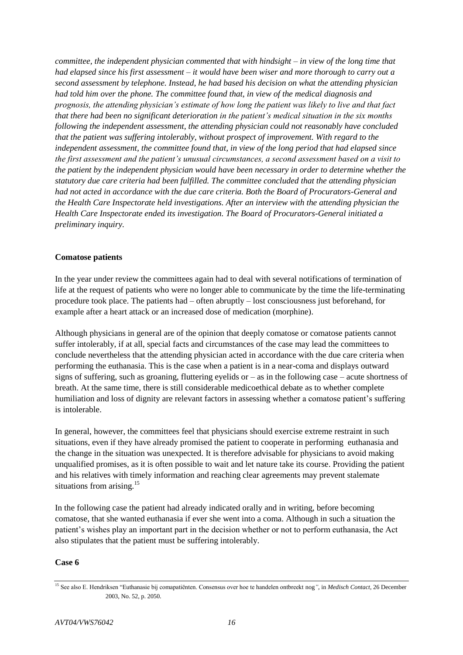*committee, the independent physician commented that with hindsight – in view of the long time that had elapsed since his first assessment – it would have been wiser and more thorough to carry out a second assessment by telephone. Instead, he had based his decision on what the attending physician had told him over the phone. The committee found that, in view of the medical diagnosis and prognosis, the attending physician's estimate of how long the patient was likely to live and that fact that there had been no significant deterioration in the patient's medical situation in the six months following the independent assessment, the attending physician could not reasonably have concluded that the patient was suffering intolerably, without prospect of improvement. With regard to the independent assessment, the committee found that, in view of the long period that had elapsed since the first assessment and the patient's unusual circumstances, a second assessment based on a visit to the patient by the independent physician would have been necessary in order to determine whether the statutory due care criteria had been fulfilled. The committee concluded that the attending physician had not acted in accordance with the due care criteria. Both the Board of Procurators-General and the Health Care Inspectorate held investigations. After an interview with the attending physician the Health Care Inspectorate ended its investigation. The Board of Procurators-General initiated a preliminary inquiry.*

# **Comatose patients**

In the year under review the committees again had to deal with several notifications of termination of life at the request of patients who were no longer able to communicate by the time the life-terminating procedure took place. The patients had – often abruptly – lost consciousness just beforehand, for example after a heart attack or an increased dose of medication (morphine).

Although physicians in general are of the opinion that deeply comatose or comatose patients cannot suffer intolerably, if at all, special facts and circumstances of the case may lead the committees to conclude nevertheless that the attending physician acted in accordance with the due care criteria when performing the euthanasia. This is the case when a patient is in a near-coma and displays outward signs of suffering, such as groaning, fluttering eyelids or  $-$  as in the following case  $-$  acute shortness of breath. At the same time, there is still considerable medicoethical debate as to whether complete humiliation and loss of dignity are relevant factors in assessing whether a comatose patient's suffering is intolerable.

In general, however, the committees feel that physicians should exercise extreme restraint in such situations, even if they have already promised the patient to cooperate in performing euthanasia and the change in the situation was unexpected. It is therefore advisable for physicians to avoid making unqualified promises, as it is often possible to wait and let nature take its course. Providing the patient and his relatives with timely information and reaching clear agreements may prevent stalemate situations from arising. $15$ 

In the following case the patient had already indicated orally and in writing, before becoming comatose, that she wanted euthanasia if ever she went into a coma. Although in such a situation the patient's wishes play an important part in the decision whether or not to perform euthanasia, the Act also stipulates that the patient must be suffering intolerably.

## **Case 6**

<sup>15</sup> See also E. Hendriksen "Euthanasie bij comapatiënten. Consensus over hoe te handelen ontbreekt nog*"*, in *Medisch Contact*, 26 December 2003, No. 52, p. 2050.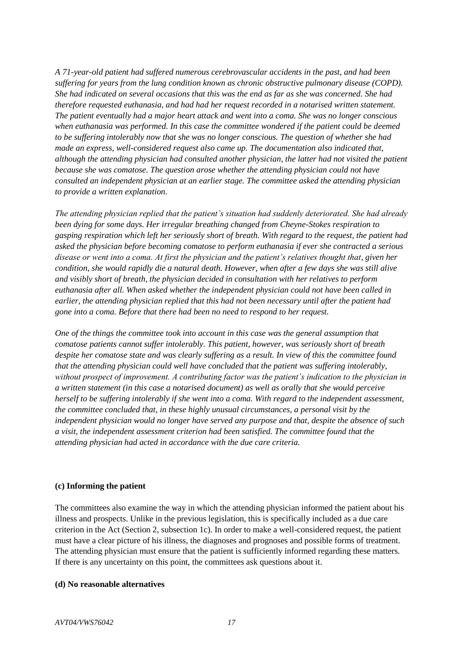*A 71-year-old patient had suffered numerous cerebrovascular accidents in the past, and had been suffering for years from the lung condition known as chronic obstructive pulmonary disease (COPD). She had indicated on several occasions that this was the end as far as she was concerned. She had therefore requested euthanasia, and had had her request recorded in a notarised written statement. The patient eventually had a major heart attack and went into a coma. She was no longer conscious when euthanasia was performed. In this case the committee wondered if the patient could be deemed to be suffering intolerably now that she was no longer conscious. The question of whether she had made an express, well-considered request also came up. The documentation also indicated that, although the attending physician had consulted another physician, the latter had not visited the patient because she was comatose. The question arose whether the attending physician could not have consulted an independent physician at an earlier stage. The committee asked the attending physician to provide a written explanation.*

*The attending physician replied that the patient's situation had suddenly deteriorated. She had already been dying for some days. Her irregular breathing changed from Cheyne-Stokes respiration to gasping respiration which left her seriously short of breath. With regard to the request, the patient had asked the physician before becoming comatose to perform euthanasia if ever she contracted a serious disease or went into a coma. At first the physician and the patient's relatives thought that, given her condition, she would rapidly die a natural death. However, when after a few days she was still alive and visibly short of breath, the physician decided in consultation with her relatives to perform euthanasia after all. When asked whether the independent physician could not have been called in earlier, the attending physician replied that this had not been necessary until after the patient had gone into a coma. Before that there had been no need to respond to her request.*

*One of the things the committee took into account in this case was the general assumption that comatose patients cannot suffer intolerably. This patient, however, was seriously short of breath despite her comatose state and was clearly suffering as a result. In view of this the committee found that the attending physician could well have concluded that the patient was suffering intolerably, without prospect of improvement. A contributing factor was the patient's indication to the physician in a written statement (in this case a notarised document) as well as orally that she would perceive herself to be suffering intolerably if she went into a coma. With regard to the independent assessment, the committee concluded that, in these highly unusual circumstances, a personal visit by the independent physician would no longer have served any purpose and that, despite the absence of such a visit, the independent assessment criterion had been satisfied. The committee found that the attending physician had acted in accordance with the due care criteria.*

## **(c) Informing the patient**

The committees also examine the way in which the attending physician informed the patient about his illness and prospects. Unlike in the previous legislation, this is specifically included as a due care criterion in the Act (Section 2, subsection 1c). In order to make a well-considered request, the patient must have a clear picture of his illness, the diagnoses and prognoses and possible forms of treatment. The attending physician must ensure that the patient is sufficiently informed regarding these matters. If there is any uncertainty on this point, the committees ask questions about it.

## **(d) No reasonable alternatives**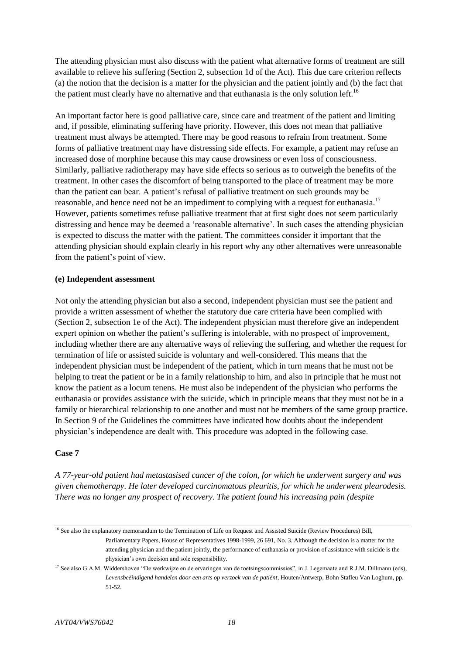The attending physician must also discuss with the patient what alternative forms of treatment are still available to relieve his suffering (Section 2, subsection 1d of the Act). This due care criterion reflects (a) the notion that the decision is a matter for the physician and the patient jointly and (b) the fact that the patient must clearly have no alternative and that euthanasia is the only solution left.<sup>16</sup>

An important factor here is good palliative care, since care and treatment of the patient and limiting and, if possible, eliminating suffering have priority. However, this does not mean that palliative treatment must always be attempted. There may be good reasons to refrain from treatment. Some forms of palliative treatment may have distressing side effects. For example, a patient may refuse an increased dose of morphine because this may cause drowsiness or even loss of consciousness. Similarly, palliative radiotherapy may have side effects so serious as to outweigh the benefits of the treatment. In other cases the discomfort of being transported to the place of treatment may be more than the patient can bear. A patient's refusal of palliative treatment on such grounds may be reasonable, and hence need not be an impediment to complying with a request for euthanasia.<sup>17</sup> However, patients sometimes refuse palliative treatment that at first sight does not seem particularly distressing and hence may be deemed a 'reasonable alternative'. In such cases the attending physician is expected to discuss the matter with the patient. The committees consider it important that the attending physician should explain clearly in his report why any other alternatives were unreasonable from the patient's point of view.

## **(e) Independent assessment**

Not only the attending physician but also a second, independent physician must see the patient and provide a written assessment of whether the statutory due care criteria have been complied with (Section 2, subsection 1e of the Act). The independent physician must therefore give an independent expert opinion on whether the patient's suffering is intolerable, with no prospect of improvement, including whether there are any alternative ways of relieving the suffering, and whether the request for termination of life or assisted suicide is voluntary and well-considered. This means that the independent physician must be independent of the patient, which in turn means that he must not be helping to treat the patient or be in a family relationship to him, and also in principle that he must not know the patient as a locum tenens. He must also be independent of the physician who performs the euthanasia or provides assistance with the suicide, which in principle means that they must not be in a family or hierarchical relationship to one another and must not be members of the same group practice. In Section 9 of the Guidelines the committees have indicated how doubts about the independent physician's independence are dealt with. This procedure was adopted in the following case.

## **Case 7**

*A 77-year-old patient had metastasised cancer of the colon, for which he underwent surgery and was given chemotherapy. He later developed carcinomatous pleuritis, for which he underwent pleurodesis. There was no longer any prospect of recovery. The patient found his increasing pain (despite* 

<sup>&</sup>lt;sup>16</sup> See also the explanatory memorandum to the Termination of Life on Request and Assisted Suicide (Review Procedures) Bill, Parliamentary Papers, House of Representatives 1998-1999, 26 691, No. 3. Although the decision is a matter for the attending physician and the patient jointly, the performance of euthanasia or provision of assistance with suicide is the physician's own decision and sole responsibility.

<sup>&</sup>lt;sup>17</sup> See also G.A.M. Widdershoven "De werkwijze en de ervaringen van de toetsingscommissies", in J. Legemaate and R.J.M. Dillmann (eds), *Levensbeëindigend handelen door een arts op verzoek van de patiënt*, Houten/Antwerp, Bohn Stafleu Van Loghum, pp. 51-52.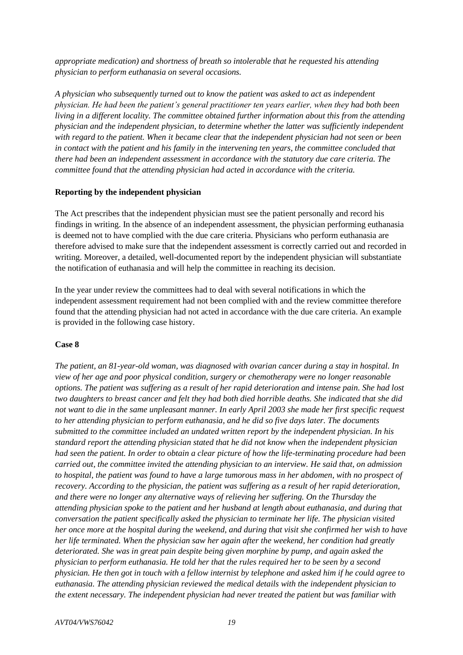*appropriate medication) and shortness of breath so intolerable that he requested his attending physician to perform euthanasia on several occasions.*

*A physician who subsequently turned out to know the patient was asked to act as independent physician. He had been the patient's general practitioner ten years earlier, when they had both been living in a different locality. The committee obtained further information about this from the attending physician and the independent physician, to determine whether the latter was sufficiently independent with regard to the patient. When it became clear that the independent physician had not seen or been in contact with the patient and his family in the intervening ten years, the committee concluded that there had been an independent assessment in accordance with the statutory due care criteria. The committee found that the attending physician had acted in accordance with the criteria.*

## **Reporting by the independent physician**

The Act prescribes that the independent physician must see the patient personally and record his findings in writing. In the absence of an independent assessment, the physician performing euthanasia is deemed not to have complied with the due care criteria. Physicians who perform euthanasia are therefore advised to make sure that the independent assessment is correctly carried out and recorded in writing. Moreover, a detailed, well-documented report by the independent physician will substantiate the notification of euthanasia and will help the committee in reaching its decision.

In the year under review the committees had to deal with several notifications in which the independent assessment requirement had not been complied with and the review committee therefore found that the attending physician had not acted in accordance with the due care criteria. An example is provided in the following case history.

#### **Case 8**

*The patient, an 81-year-old woman, was diagnosed with ovarian cancer during a stay in hospital. In view of her age and poor physical condition, surgery or chemotherapy were no longer reasonable options. The patient was suffering as a result of her rapid deterioration and intense pain. She had lost two daughters to breast cancer and felt they had both died horrible deaths. She indicated that she did not want to die in the same unpleasant manner. In early April 2003 she made her first specific request to her attending physician to perform euthanasia, and he did so five days later. The documents submitted to the committee included an undated written report by the independent physician. In his standard report the attending physician stated that he did not know when the independent physician had seen the patient. In order to obtain a clear picture of how the life-terminating procedure had been carried out, the committee invited the attending physician to an interview. He said that, on admission to hospital, the patient was found to have a large tumorous mass in her abdomen, with no prospect of recovery. According to the physician, the patient was suffering as a result of her rapid deterioration, and there were no longer any alternative ways of relieving her suffering. On the Thursday the attending physician spoke to the patient and her husband at length about euthanasia, and during that conversation the patient specifically asked the physician to terminate her life. The physician visited her once more at the hospital during the weekend, and during that visit she confirmed her wish to have her life terminated. When the physician saw her again after the weekend, her condition had greatly deteriorated. She was in great pain despite being given morphine by pump, and again asked the physician to perform euthanasia. He told her that the rules required her to be seen by a second physician. He then got in touch with a fellow internist by telephone and asked him if he could agree to euthanasia. The attending physician reviewed the medical details with the independent physician to the extent necessary. The independent physician had never treated the patient but was familiar with*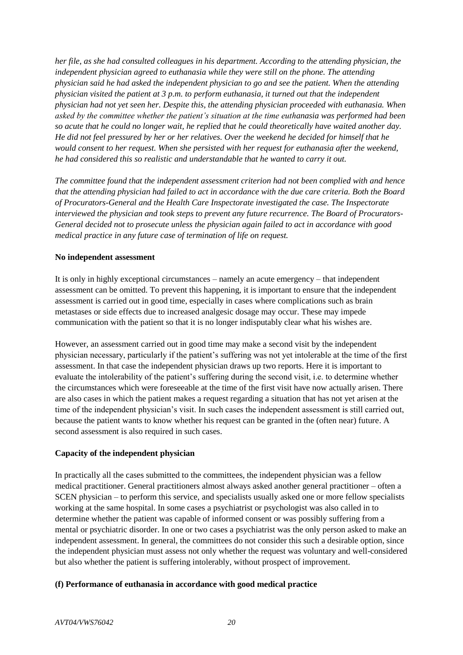*her file, as she had consulted colleagues in his department. According to the attending physician, the independent physician agreed to euthanasia while they were still on the phone. The attending physician said he had asked the independent physician to go and see the patient. When the attending physician visited the patient at 3 p.m. to perform euthanasia, it turned out that the independent physician had not yet seen her. Despite this, the attending physician proceeded with euthanasia. When asked by the committee whether the patient's situation at the time euthanasia was performed had been so acute that he could no longer wait, he replied that he could theoretically have waited another day. He did not feel pressured by her or her relatives. Over the weekend he decided for himself that he would consent to her request. When she persisted with her request for euthanasia after the weekend, he had considered this so realistic and understandable that he wanted to carry it out.*

*The committee found that the independent assessment criterion had not been complied with and hence that the attending physician had failed to act in accordance with the due care criteria. Both the Board of Procurators-General and the Health Care Inspectorate investigated the case. The Inspectorate interviewed the physician and took steps to prevent any future recurrence. The Board of Procurators-General decided not to prosecute unless the physician again failed to act in accordance with good medical practice in any future case of termination of life on request.*

## **No independent assessment**

It is only in highly exceptional circumstances – namely an acute emergency – that independent assessment can be omitted. To prevent this happening, it is important to ensure that the independent assessment is carried out in good time, especially in cases where complications such as brain metastases or side effects due to increased analgesic dosage may occur. These may impede communication with the patient so that it is no longer indisputably clear what his wishes are.

However, an assessment carried out in good time may make a second visit by the independent physician necessary, particularly if the patient's suffering was not yet intolerable at the time of the first assessment. In that case the independent physician draws up two reports. Here it is important to evaluate the intolerability of the patient's suffering during the second visit, i.e. to determine whether the circumstances which were foreseeable at the time of the first visit have now actually arisen. There are also cases in which the patient makes a request regarding a situation that has not yet arisen at the time of the independent physician's visit. In such cases the independent assessment is still carried out, because the patient wants to know whether his request can be granted in the (often near) future. A second assessment is also required in such cases.

## **Capacity of the independent physician**

In practically all the cases submitted to the committees, the independent physician was a fellow medical practitioner. General practitioners almost always asked another general practitioner – often a SCEN physician – to perform this service, and specialists usually asked one or more fellow specialists working at the same hospital. In some cases a psychiatrist or psychologist was also called in to determine whether the patient was capable of informed consent or was possibly suffering from a mental or psychiatric disorder. In one or two cases a psychiatrist was the only person asked to make an independent assessment. In general, the committees do not consider this such a desirable option, since the independent physician must assess not only whether the request was voluntary and well-considered but also whether the patient is suffering intolerably, without prospect of improvement.

# **(f) Performance of euthanasia in accordance with good medical practice**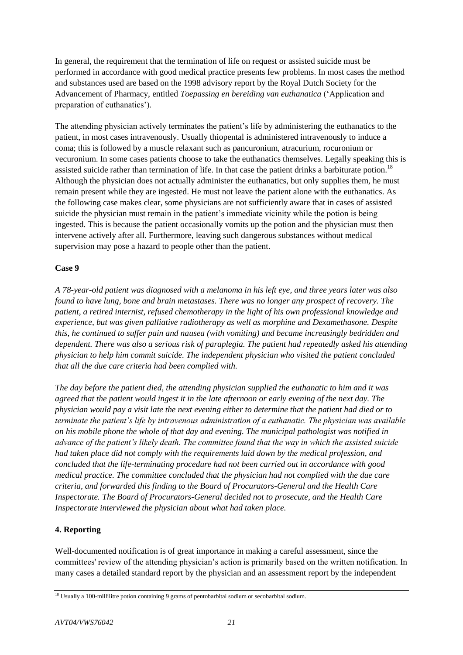In general, the requirement that the termination of life on request or assisted suicide must be performed in accordance with good medical practice presents few problems. In most cases the method and substances used are based on the 1998 advisory report by the Royal Dutch Society for the Advancement of Pharmacy, entitled *Toepassing en bereiding van euthanatica* ('Application and preparation of euthanatics').

The attending physician actively terminates the patient's life by administering the euthanatics to the patient, in most cases intravenously. Usually thiopental is administered intravenously to induce a coma; this is followed by a muscle relaxant such as pancuronium, atracurium, rocuronium or vecuronium. In some cases patients choose to take the euthanatics themselves. Legally speaking this is assisted suicide rather than termination of life. In that case the patient drinks a barbiturate potion.<sup>18</sup> Although the physician does not actually administer the euthanatics, but only supplies them, he must remain present while they are ingested. He must not leave the patient alone with the euthanatics. As the following case makes clear, some physicians are not sufficiently aware that in cases of assisted suicide the physician must remain in the patient's immediate vicinity while the potion is being ingested. This is because the patient occasionally vomits up the potion and the physician must then intervene actively after all. Furthermore, leaving such dangerous substances without medical supervision may pose a hazard to people other than the patient.

# **Case 9**

*A 78-year-old patient was diagnosed with a melanoma in his left eye, and three years later was also found to have lung, bone and brain metastases. There was no longer any prospect of recovery. The patient, a retired internist, refused chemotherapy in the light of his own professional knowledge and experience, but was given palliative radiotherapy as well as morphine and Dexamethasone. Despite this, he continued to suffer pain and nausea (with vomiting) and became increasingly bedridden and dependent. There was also a serious risk of paraplegia. The patient had repeatedly asked his attending physician to help him commit suicide. The independent physician who visited the patient concluded that all the due care criteria had been complied with.*

*The day before the patient died, the attending physician supplied the euthanatic to him and it was agreed that the patient would ingest it in the late afternoon or early evening of the next day. The physician would pay a visit late the next evening either to determine that the patient had died or to terminate the patient's life by intravenous administration of a euthanatic. The physician was available on his mobile phone the whole of that day and evening. The municipal pathologist was notified in advance of the patient's likely death. The committee found that the way in which the assisted suicide had taken place did not comply with the requirements laid down by the medical profession, and concluded that the life-terminating procedure had not been carried out in accordance with good medical practice. The committee concluded that the physician had not complied with the due care criteria, and forwarded this finding to the Board of Procurators-General and the Health Care Inspectorate. The Board of Procurators-General decided not to prosecute, and the Health Care Inspectorate interviewed the physician about what had taken place.*

# **4. Reporting**

Well-documented notification is of great importance in making a careful assessment, since the committees' review of the attending physician's action is primarily based on the written notification. In many cases a detailed standard report by the physician and an assessment report by the independent

<sup>&</sup>lt;sup>18</sup> Usually a 100-millilitre potion containing 9 grams of pentobarbital sodium or secobarbital sodium.